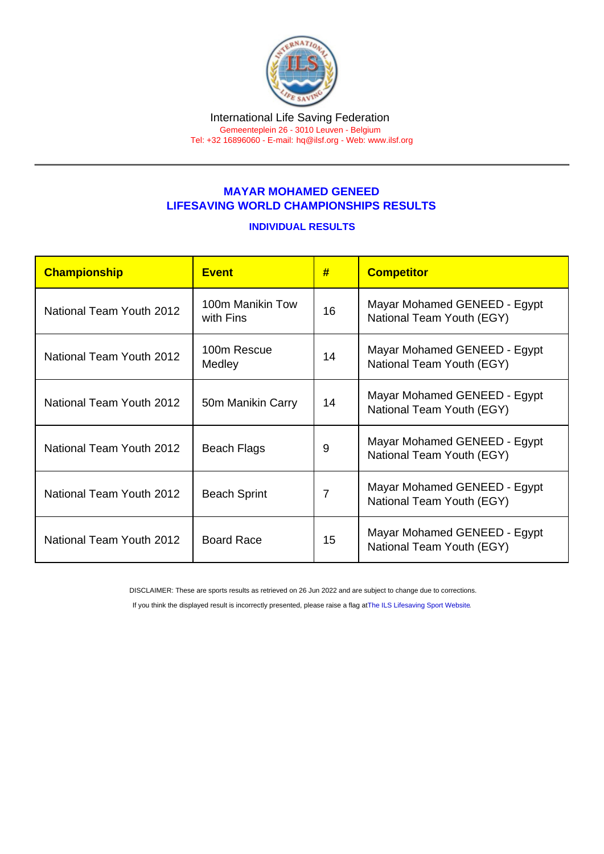## MAYAR MOHAMED GENEED LIFESAVING WORLD CHAMPIONSHIPS RESULTS

## INDIVIDUAL RESULTS

| Championship             | <b>Fvent</b>                  | #              | <b>Competitor</b>                                         |
|--------------------------|-------------------------------|----------------|-----------------------------------------------------------|
| National Team Youth 2012 | 100m Manikin Tow<br>with Fins | 16             | Mayar Mohamed GENEED - Egypt<br>National Team Youth (EGY) |
| National Team Youth 2012 | 100m Rescue<br>Medley         | 14             | Mayar Mohamed GENEED - Egypt<br>National Team Youth (EGY) |
| National Team Youth 2012 | 50m Manikin Carry             | 14             | Mayar Mohamed GENEED - Egypt<br>National Team Youth (EGY) |
| National Team Youth 2012 | <b>Beach Flags</b>            | 9              | Mayar Mohamed GENEED - Egypt<br>National Team Youth (EGY) |
| National Team Youth 2012 | <b>Beach Sprint</b>           | $\overline{7}$ | Mayar Mohamed GENEED - Egypt<br>National Team Youth (EGY) |
| National Team Youth 2012 | <b>Board Race</b>             | 15             | Mayar Mohamed GENEED - Egypt<br>National Team Youth (EGY) |

DISCLAIMER: These are sports results as retrieved on 26 Jun 2022 and are subject to change due to corrections.

If you think the displayed result is incorrectly presented, please raise a flag at [The ILS Lifesaving Sport Website.](https://sport.ilsf.org)